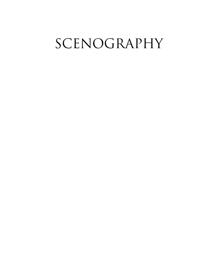# scenography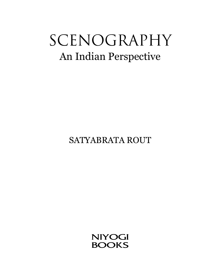# An Indian Perspective scenography

SATYABRATA ROUT

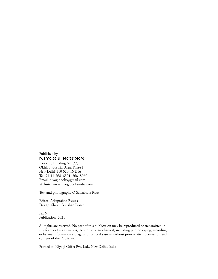#### Published by **NIYOGI BOOKS**

Block D, Building No. 77, Okhla Industrial Area, Phase-I, New Delhi-110 020, INDIA Tel: 91-11-26816301, 26818960 Email: niyogibooks@gmail.com Website: www.niyogibooksindia.com

Text and photography © Satyabrata Rout

Editor: Arkaprabha Biswas Design: Shashi Bhushan Prasad

ISBN: Publication: 2021

All rights are reserved. No part of this publication may be reproduced or transmitted in any form or by any means, electronic or mechanical, including photocopying, recording or by any information storage and retrieval system without prior written permission and consent of the Publisher.

Printed at: Niyogi Offset Pvt. Ltd., New Delhi, India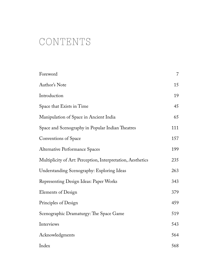## **CONTENTS**

| Foreword                                                    | 7   |
|-------------------------------------------------------------|-----|
| Author's Note                                               | 15  |
| Introduction                                                | 19  |
| Space that Exists in Time                                   | 45  |
| Manipulation of Space in Ancient India                      | 65  |
| Space and Scenography in Popular Indian Theatres            | 111 |
| Conventions of Space                                        | 157 |
| <b>Alternative Performance Spaces</b>                       | 199 |
| Multiplicity of Art: Perception, Interpretation, Aesthetics | 235 |
| Understanding Scenography: Exploring Ideas                  | 263 |
| Representing Design Ideas: Paper Works                      | 343 |
| <b>Elements of Design</b>                                   | 379 |
| Principles of Design                                        | 459 |
| Scenographic Dramaturgy: The Space Game                     | 519 |
| Interviews                                                  | 543 |
| Acknowledgments                                             | 564 |
| Index                                                       | 568 |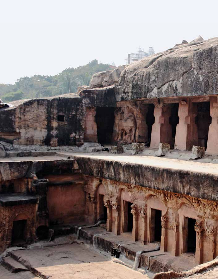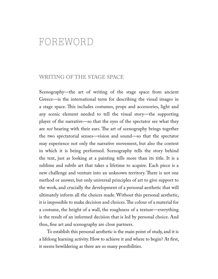### Foreword

### WRITING OF THE STAGE SPACE

Scenography—the art of writing of the stage space from ancient Greece—is the international term for describing the visual images in a stage space. This includes costumes, props and accessories, light and any scenic element needed to tell the visual story—the supporting player of the narrative—so that the eyes of the spectator see what they are *not* hearing with their ears. The art of scenography brings together the two spectatorial senses—vision and sound—so that the spectator may experience not only the narrative movement, but also the context in which it is being performed. Scenography tells the story behind the text, just as looking at a painting tells more than its title. It is a sublime and subtle art that takes a lifetime to acquire. Each piece is a new challenge and venture into an unknown territory. There is not one method or answer, but only universal principles of art to give support to the work, and crucially the development of a personal aesthetic that will ultimately inform all the choices made. Without this personal aesthetic, it is impossible to make decision and choices. The colour of a material for a costume, the height of a wall, the roughness of a texture—everything is the result of an informed decision that is led by personal choice. And thus, fine art and scenography are close partners.

To establish this personal aesthetic is the main point of study, and it is a lifelong learning activity. How to achieve it and where to begin? At first, it seems bewildering as there are so many possibilities.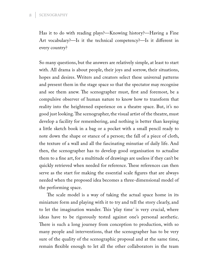Has it to do with reading plays?—Knowing history?—Having a Fine Art vocabulary?—Is it the technical competency?—Is it different in every country?

So many questions, but the answers are relatively simple, at least to start with. All drama is about people, their joys and sorrow, their situations, hopes and desires. Writers and creators select these universal patterns and present them in the stage space so that the spectator may recognise and see them anew. The scenographer must, first and foremost, be a compulsive observer of human nature to know how to transform that reality into the heightened experience on a theatre space. But, it's no good just looking. The scenographer, the visual artist of the theatre, must develop a facility for remembering, and nothing is better than keeping a little sketch book in a bag or a pocket with a small pencil ready to note down the shape or stance of a person; the fall of a piece of cloth, the texture of a wall and all the fascinating minutiae of daily life. And then, the scenographer has to develop good organisation to actualise them to a fine art, for a multitude of drawings are useless if they can't be quickly retrieved when needed for reference. These references can then serve as the start for making the essential scale figures that are always needed when the proposed idea becomes a three-dimensional model of the performing space.

The scale model is a way of taking the actual space home in its miniature form and playing with it to try and tell the story clearly, and to let the imagination wander. This 'play time*'* is very crucial, where ideas have to be rigorously tested against one's personal aesthetic. There is such a long journey from conception to production, with so many people and interventions, that the scenographer has to be very sure of the quality of the scenographic proposal and at the same time, remain flexible enough to let all the other collaborators in the team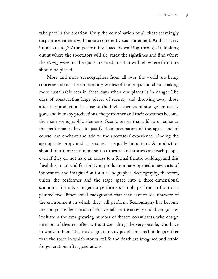take part in the creation. Only the combination of all these seemingly disparate elements will make a coherent visual statement. And it is very important to *feel* the performing space by walking through it, looking out at where the spectators will sit, study the sightlines and find where the *strong points* of the space are sited, for that will tell where furniture should be placed.

More and more scenographers from all over the world are being concerned about the unnecessary wastes of the props and about making more sustainable sets in these days when our planet is in danger. The days of constructing large pieces of scenery and throwing away those after the production because of the high expenses of storage are nearly gone and in many productions, the performer and their costumes become the main scenographic elements. Scenic pieces that add to or enhance the performance have to justify their occupation of the space and of course, can enchant and add to the spectators' experience. Finding the appropriate props and accessories is equally important. A production should tour more and more so that theatre and stories can reach people even if they do not have an access to a formal theatre building, and this flexibility in art and feasibility in production have opened a new vista of innovation and imagination for a scenographer. Scenography, therefore, unites the performer and the stage space into a three-dimensional sculptural form. No longer do performers simply perform in front of a painted two-dimensional background that they cannot see, unaware of the environment in which they will perform. Scenography has become the composite description of this visual theatre activity and distinguishes itself from the ever-growing number of theatre consultants, who design interiors of theatres often without consulting the very people, who have to work in them. Theatre design, to many people, means buildings rather than the space in which stories of life and death are imagined and retold for generations after generations.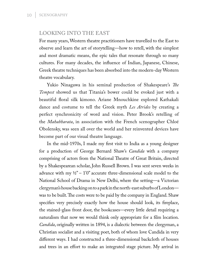### Looking into the East

For many years, Western theatre practitioners have travelled to the East to observe and learn the art of storytelling—how to retell, with the simplest and most dramatic means, the epic tales that resonate through so many cultures. For many decades, the influence of Indian, Japanese, Chinese, Greek theatre techniques has been absorbed into the modern-day Western theatre vocabulary.

Yukio Ninagawa in his seminal production of Shakespeare's *The Tempest* showed us that Titania's bower could be evoked just with a beautiful floral silk kimono. Ariane Mnouchkine explored Kathakali dance and costume to tell the Greek myth *Les Atrides* by creating a perfect synchronicity of word and vision. Peter Brook's retelling of the *Mahabharata*, in association with the French scenographer Chloé Obolensky, was seen all over the world and her reinvented devices have become part of our visual theatre language.

In the mid-1970s, I made my first visit to India as a young designer for a production of George Bernard Shaw's *Candida* with a company comprising of actors from the National Theatre of Great Britain, directed by a Shakespearean scholar, John Russell Brown. I was sent seven weeks in advance with my  $\frac{1}{2}$ " – 1'0" accurate three-dimensional scale model to the National School of Drama in New Delhi, where the setting—a Victorian clergyman's house backing on to a park in the north-east suburbs of London was to be built. The costs were to be paid by the company in England. Shaw specifies very precisely exactly how the house should look, its fireplace, the stained-glass front door, the bookcases—every little detail requiring a naturalism that now we would think only appropriate for a film location. *Candida*, originally written in 1894, is a dialectic between the clergyman, a Christian socialist and a visiting poet, both of whom love Candida in very different ways. I had constructed a three-dimensional backcloth of houses and trees in an effort to make an integrated stage picture. My arrival in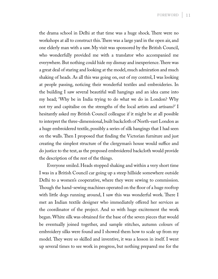the drama school in Delhi at that time was a huge shock. There were no workshops at all to construct this. There was a large yard in the open air, and one elderly man with a saw. My visit was sponsored by the British Council, who wonderfully provided me with a translator who accompanied me everywhere. But nothing could hide my dismay and inexperience. There was a great deal of staring and looking at the model, much admiration and much shaking of heads. As all this was going on, out of my control, I was looking at people passing, noticing their wonderful textiles and embroideries. In the building I saw several beautiful wall hangings and an idea came into my head; 'Why be in India trying to do what we do in London? Why not try and capitalise on the strengths of the local artists and artisans?' I hesitantly asked my British Council colleague if it might be at all possible to interpret the three-dimensional, built backcloth of North-east London as a huge embroidered textile, possibly a series of silk hangings that I had seen on the walls. Then I proposed that finding the Victorian furniture and just creating the simplest structure of the clergyman's house would suffice and do justice to the text, as the proposed embroidered backcloth would provide the description of the rest of the things.

Everyone smiled. Heads stopped shaking and within a very short time I was in a British Council car going up a steep hillside somewhere outside Delhi to a women's cooperative, where they were sewing to commission. Though the hand-sewing machines operated on the floor of a huge rooftop with little dogs running around, I saw this was wonderful work. There I met an Indian textile designer who immediately offered her services as the coordinator of the project. And so with huge excitement the work began. White silk was obtained for the base of the seven pieces that would be eventually joined together, and sample stitches, autumn colours of embroidery silks were found and I showed them how to scale up from my model. They were so skilled and inventive, it was a lesson in itself. I went up several times to see work in progress, but nothing prepared me for the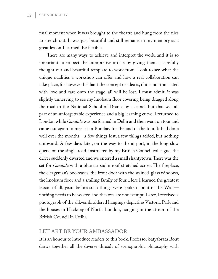final moment when it was brought to the theatre and hung from the flies to stretch out. It was just beautiful and still remains in my memory as a great lesson I learned: Be flexible.

There are many ways to achieve and interpret the work, and it is so important to respect the interpretive artists by giving them a carefully thought out and beautiful template to work from. Look to see what the unique qualities a workshop can offer and how a real collaboration can take place, for however brilliant the concept or idea is, if it is not translated with love and care onto the stage, all will be lost. I must admit, it was slightly unnerving to see my linoleum floor covering being dragged along the road to the National School of Drama by a camel, but that was all part of an unforgettable experience and a big learning curve. I returned to London while *Candida* was performed in Delhi and then went on tour and came out again to meet it in Bombay for the end of the tour. It had done well over the months—a few things lost, a few things added, but nothing untoward. A few days later, on the way to the airport, in the long slow queue on the single road, instructed by my British Council colleague, the driver suddenly diverted and we entered a small shantytown. There was the set for *Candida* with a blue tarpaulin roof stretched across. The fireplace, the clergyman's bookcases, the front door with the stained-glass windows, the linoleum floor and a smiling family of four. Here I learned the greatest lesson of all, years before such things were spoken about in the West nothing needs to be wasted and theatres are not exempt. Later, I received a photograph of the silk-embroidered hangings depicting Victoria Park and the houses in Hackney of North London, hanging in the atrium of the British Council in Delhi.

### Let Art be your Ambassador

It is an honour to introduce readers to this book. Professor Satyabrata Rout draws together all the diverse threads of scenographic philosophy with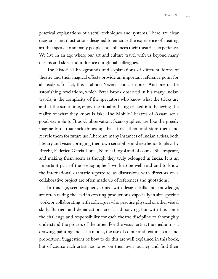practical explanations of useful techniques and systems. There are clear diagrams and illustrations designed to enhance the experience of creating art that speaks to so many people and enhances their theatrical experience. We live in an age where our art and culture travel with us beyond many oceans and skies and influence our global colleagues.

The historical backgrounds and explanations of different forms of theatre and their magical effects provide an important reference point for all readers. In fact, this is almost 'several books in one'! And one of the astonishing revelations, which Peter Brook observed in his many Indian travels, is the complicity of the spectators who know what the tricks are and at the same time, enjoy the ritual of being tricked into believing the reality of what they know is fake. The Mobile Theatres of Assam set a good example to Brook's observation. Scenographers are like the greedy magpie birds that pick things up that attract them and store them and recycle them for future use. There are many instances of Indian artists, both literary and visual, bringing their own sensibility and aesthetics to plays by Brecht, Federico Garcia Lorca, Nikolai Gogol and of course, Shakespeare, and making them seem as though they truly belonged in India. It is an important part of the scenographer's work to be well read and to know the international dramatic repertoire, as discussions with directors on a collaborative project are often made up of references and quotations.

In this age, scenographers, armed with design skills and knowledge, are often taking the lead in creating productions, especially in site-specific work, or collaborating with colleagues who practise physical or other visual skills. Barriers and demarcations are fast dissolving, but with this come the challenge and responsibility for each theatre discipline to thoroughly understand the process of the other. For the visual artist, the medium is a drawing, painting and scale model, the use of colour and texture, scale and proportion. Suggestions of how to do this are well explained in this book, but of course each artist has to go on their own journey and find their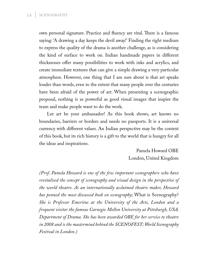own personal signature. Practice and fluency are vital. There is a famous saying: 'A drawing a day keeps the devil away!' Finding the right medium to express the quality of the drama is another challenge, as is considering the kind of surface to work on. Indian handmade papers in different thicknesses offer many possibilities to work with inks and acrylics, and create immediate textures that can give a simple drawing a very particular atmosphere. However, one thing that I am sure about is that art speaks louder than words, even to the extent that many people over the centuries have been afraid of the power of art. When presenting a scenographic proposal, nothing is as powerful as good visual images that inspire the team and make people want to do the work.

Let art be your ambassador! As this book shows, art knows no boundaries, barriers or borders and needs no passports. It is a universal currency with different values. An Indian perspective may be the context of this book, but its rich history is a gift to the world that is hungry for all the ideas and inspirations.

> Pamela Howard OBE London, United Kingdom

*(Prof. Pamela Howard is one of the few important scenographers who have revitalised the concept of scenography and visual design in the perspective of the world theatre. As an internationally acclaimed theatre maker, Howard has penned the most discussed book on scenography;* What is Scenography? *She is Professor Emeritus at the University of the Arts, London and a frequent visitor the famous Carnegie Mellon University at Pittsburgh, USA, Department of Drama. She has been awarded OBE for her service to theatre in 2008 and is the mastermind behind the SCENOFEST; World Scenography Festival in London.)*